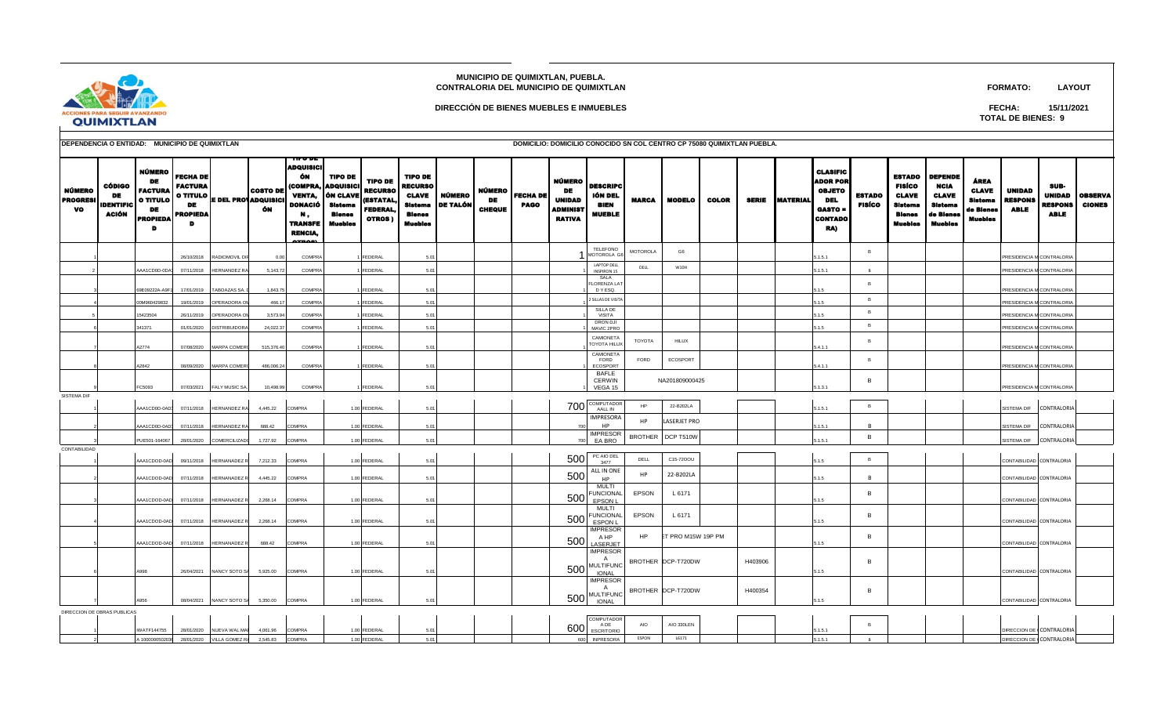## **MUNICIPIO DE QUIMIXTLAN, PUEBLA. CONTRALORIA DEL MUNICIPIO DE QUIMIXTLAN**

**FORMATO: LAYOUT**

SUB-UNIDAD | OBSERVA



## **DIRECCIÓN DE BIENES MUEBLES E INMUEBLES**

**TOTAL DE BIENES: 9 FECHA: 15/11/2021**

UNIDAD

CLASIFIC ADOR POR OBJETO DEL

ESTADO

ESTADO DEPENDE FISÍCO CLAVE

NCIA CLAVE ÁREA CLAVE

|                                        | DEPENDENCIA O ENTIDAD: MUNICIPIO DE QUIMIXTLAN |                                                                                   |                                                                        |                         |                                                                    |                                                                                                                           |                                                                                                |                                                                            |                                                                       |                              |                               |                                |                                                                     |                                                            | DOMICILIO: DOMICILIO CONOCIDO SN COL CENTRO CP 75080 QUIMIXTLAN PUEBLA. |               |              |              |                 |  |  |  |  |  |
|----------------------------------------|------------------------------------------------|-----------------------------------------------------------------------------------|------------------------------------------------------------------------|-------------------------|--------------------------------------------------------------------|---------------------------------------------------------------------------------------------------------------------------|------------------------------------------------------------------------------------------------|----------------------------------------------------------------------------|-----------------------------------------------------------------------|------------------------------|-------------------------------|--------------------------------|---------------------------------------------------------------------|------------------------------------------------------------|-------------------------------------------------------------------------|---------------|--------------|--------------|-----------------|--|--|--|--|--|
| NÚMERO<br><b>PROGRESI</b><br><b>VO</b> | CÓDIGO<br>DE<br><b>IDENTIFIC</b><br>ACIÓN      | NÚMERO<br>DE<br><b>FACTURA</b><br><b>O TITULO</b><br><b>DE</b><br><b>PROPIEDA</b> | <b>FECHA DE</b><br><b>FACTURA</b><br><b>DE</b><br><b>PROPIEDA</b><br>D |                         | <b>COSTO DE</b><br>.   O TITULO <b>  E DEL PRO ADQUISICI</b><br>ÓN | TIF V DE<br><b>ADQUISICI</b><br>ÓМ<br><b>VENTA,</b><br>DONACIÓ<br>Ν,<br><b>TRANSFE</b><br><b>RENCIA,</b><br><b>ATRACT</b> | <b>TIPO DE</b><br>(COMPRA, ADQUISICI<br>ÓN CLAVE<br><b>Sistema</b><br><b>Blenes</b><br>Muebles | <b>TIPO DE</b><br><b>RECURSO</b><br>(ESTATAL,<br><b>FEDERAL,</b><br>OTROS) | TIPO DE<br><b>RECURSO</b><br><b>CLAVE</b><br>Bienes<br><b>Muebles</b> | NÚMERO<br>Sistema   DE TALÓN | <b>NÚMERO</b><br>DE<br>CHEQUE | <b>FECHA DE</b><br><b>PAGO</b> | NÚMERO  <br>DE<br><b>UNIDAD</b><br><b>ADMINIST</b><br><b>RATIVA</b> | <b>DESCRIPC</b><br>IÓN DEL<br><b>BIEN</b><br><b>MUEBLE</b> | <b>MARCA</b>                                                            | <b>MODELO</b> | <b>COLOR</b> | <b>SERIE</b> | <b>MATERIAL</b> |  |  |  |  |  |
|                                        |                                                |                                                                                   | 26/10/2018                                                             | <b>RADIOMOVIL DIF</b>   | 0.00                                                               | COMPRA                                                                                                                    |                                                                                                | <b>FEDERAL</b>                                                             | 5.01                                                                  |                              |                               |                                |                                                                     | <b>TELEFONO</b><br>1 MOTOROLA G6                           | <b>MOTOROLA</b>                                                         | G6            |              |              |                 |  |  |  |  |  |
|                                        |                                                | AAA1CD0D-0DA3                                                                     |                                                                        | 07/11/2018 HERNANDEZ RA | 5,143.72                                                           | COMPRA                                                                                                                    |                                                                                                | <b>FEDERAL</b>                                                             | 5.01                                                                  |                              |                               |                                |                                                                     | <b>LAPTOP DELL</b><br><b>INSPIRON 15</b>                   | DELL                                                                    | W10H          |              |              |                 |  |  |  |  |  |
|                                        |                                                | 69E09222A-A9F1                                                                    | 17/01/2019                                                             | TABOAZAS SA.            | 1,843.75                                                           | COMPRA                                                                                                                    |                                                                                                | <b>FEDERAL</b>                                                             | 5.01                                                                  |                              |                               |                                |                                                                     | SALA<br><b>FLORENZA LAT</b><br>DY ESQ.                     |                                                                         |               |              |              |                 |  |  |  |  |  |
|                                        |                                                | 00M960429832                                                                      | 19/01/2019                                                             | OPERADORA OM            | 466.1                                                              | COMPRA                                                                                                                    |                                                                                                | <b>FEDERAL</b>                                                             | 5.01                                                                  |                              |                               |                                |                                                                     | 2 SILLAS DE VISITA                                         |                                                                         |               |              |              |                 |  |  |  |  |  |
|                                        |                                                | 15423504                                                                          | 26/11/2019                                                             | OPERADORA OI            | 3,573.94                                                           | COMPRA                                                                                                                    |                                                                                                | FEDERAL                                                                    | 5.01                                                                  |                              |                               |                                |                                                                     | SILLA DE<br><b>VISITA</b>                                  |                                                                         |               |              |              |                 |  |  |  |  |  |
|                                        |                                                | 341371                                                                            | 01/01/2020                                                             | <b>DISTRIBUIDORA</b>    | 24.022.37                                                          | COMPRA                                                                                                                    |                                                                                                | <b>FEDERAL</b>                                                             | 5.01                                                                  |                              |                               |                                |                                                                     | DRON DJI<br>MAVIC 2PRO                                     |                                                                         |               |              |              |                 |  |  |  |  |  |
|                                        |                                                |                                                                                   |                                                                        |                         |                                                                    |                                                                                                                           |                                                                                                |                                                                            |                                                                       |                              |                               |                                |                                                                     |                                                            |                                                                         |               |              |              |                 |  |  |  |  |  |

| <b>PROGRESI</b><br>vo | <b>IDENTIFIC</b><br><b>ACIÓN</b> | <b>O TITULO</b><br>DE<br><b>PROPIEDA</b><br>D | ------<br>DE<br>PROPIEDA<br>D | <b>E DEL PROVADQUISICI</b> | ÓN         | DONACIÓ<br>М.<br><b>TRANSFE</b><br><b>RENCIA</b> | Sistema<br><b>Blenes</b><br><b>Muebles</b> | (ESTATAL,<br><b>FEDERAL</b><br><b>OTROS</b> | Sistema<br><b>Bienes</b><br><b>Muebles</b> | <b>DE TALÓN</b> | DE<br>CHEQUE | <b>PAGO</b> | UNIDAD<br><b>ADMINIST</b><br><b>RATIVA</b> | <b>BIEN</b><br><b>MUEBLE</b>                                                      | <b>MARCA</b>    | MODELO             | <b>COLOR</b> | <b>SERIE</b> | <b>MATERIAL</b> | DEL<br><b>GASTO =</b><br><b>CONTADO</b><br>RA) | <b>FISÍCO</b>  | Sistema<br><b>Blenes</b><br>Muebles | Sistema<br>de Blenes<br>Muebles | Sistema<br>de Bienes<br><b>Muobles</b> | <b>RESPONS</b><br><b>ABLE</b>    | <b>RESPONS</b><br><b>ABLE</b> | <b>CIONES</b> |
|-----------------------|----------------------------------|-----------------------------------------------|-------------------------------|----------------------------|------------|--------------------------------------------------|--------------------------------------------|---------------------------------------------|--------------------------------------------|-----------------|--------------|-------------|--------------------------------------------|-----------------------------------------------------------------------------------|-----------------|--------------------|--------------|--------------|-----------------|------------------------------------------------|----------------|-------------------------------------|---------------------------------|----------------------------------------|----------------------------------|-------------------------------|---------------|
|                       |                                  |                                               | 26/10/2018                    | RADIOMOVIL DI              | 0.00       | <b>COMPRA</b>                                    |                                            | FEDERAL                                     | 5.01                                       |                 |              |             |                                            | <b>TELEFONO</b><br>MOTOROLA G6                                                    | <b>MOTOROLA</b> | G6                 |              |              |                 | 5.1.5.1                                        | <b>B</b>       |                                     |                                 |                                        | PRESIDENCIA M CONTRALORIA        |                               |               |
|                       |                                  | AA1CD0D-0DA                                   | 07/11/2018                    | HERNANDEZ RA               | 5,143.72   | COMPR/                                           |                                            | <b>FEDERAL</b>                              | 5.01                                       |                 |              |             |                                            | <b>LAPTOP DELI</b><br><b>INSPIRON 15</b>                                          | DELL            | W10H               |              |              |                 | 5.1.5.1                                        |                |                                     |                                 |                                        | RESIDENCIA M CONTRALORIA         |                               |               |
|                       |                                  | 9E09222A-A9F                                  | 17/01/2019                    | TABOAZAS SA.               | 1,843.75   | COMPR/                                           |                                            | <b>FEDERAL</b>                              | 5.01                                       |                 |              |             |                                            | SALA<br>LORENZA LAT<br>D Y ESQ.                                                   |                 |                    |              |              |                 | 5.1.5                                          | <b>B</b>       |                                     |                                 |                                        | <b>PRESIDENCIA M CONTRALORIA</b> |                               |               |
|                       |                                  | 0M960429832                                   | 19/01/2019                    | OPERADORA C                | 466.17     | COMPR/                                           |                                            | <b>FEDERAL</b>                              | 5.01                                       |                 |              |             |                                            | 2 SILLAS DE VISITA                                                                |                 |                    |              |              |                 | 5.1.5                                          | B              |                                     |                                 |                                        | <b>PRESIDENCIA M CONTRALORIA</b> |                               |               |
|                       |                                  | 5423504                                       | 26/11/2019                    | OPERADORA OI               | 3,573.94   | <b>COMPRA</b>                                    |                                            | FEDERAL                                     | 5.01                                       |                 |              |             |                                            | SILLA DE<br>VISITA                                                                |                 |                    |              |              |                 | 5.1.5                                          | $\overline{B}$ |                                     |                                 |                                        | RESIDENCIA M CONTRALORIA         |                               |               |
|                       |                                  | 341371                                        | 01/01/2020                    | <b>DISTRIBUIDOR/</b>       | 24,022.37  | COMPRA                                           |                                            | FEDERAL                                     | 5.01                                       |                 |              |             |                                            | DRON DJI<br>MAVIC 2PRO                                                            |                 |                    |              |              |                 | 5.1.5                                          | B              |                                     |                                 |                                        | <b>PRESIDENCIA M CONTRALORIA</b> |                               |               |
|                       |                                  | A2774                                         | 07/08/2020                    | <b>MARPA COMERO</b>        | 515,376.40 | <b>COMPRA</b>                                    |                                            | <b>FEDERAL</b>                              | 5.01                                       |                 |              |             |                                            | CAMIONETA<br><b>TOYOTA HILUX</b>                                                  | TOYOTA          | <b>HILUX</b>       |              |              |                 | 5.4.1.1                                        | <b>B</b>       |                                     |                                 |                                        | <b>PRESIDENCIA M CONTRALORIA</b> |                               |               |
|                       |                                  | A2842                                         | 08/09/2020                    | MARPA COMERO               | 486,006.24 | COMPRA                                           |                                            | <b>FEDERAL</b>                              | 5.01                                       |                 |              |             |                                            | CAMIONETA<br>FORD<br>ECOSPORT                                                     | FORD            | ECOSPORT           |              |              |                 | 5.4.1.1                                        | B              |                                     |                                 |                                        | PRESIDENCIA M CONTRALORIA        |                               |               |
|                       |                                  | FC5093                                        | 07/03/2021                    | FALY MUSIC SA              | 10,498.99  | COMPR/                                           |                                            | FEDERAL                                     | 5.01                                       |                 |              |             |                                            | BAFLE<br>CERWIN<br>VEGA 15                                                        |                 | NA201809000425     |              |              |                 | 5.1.3.1                                        | B              |                                     |                                 |                                        | PRESIDENCIA M CONTRALORIA        |                               |               |
| SISTEMA DIF           |                                  |                                               |                               |                            |            |                                                  |                                            |                                             |                                            |                 |              |             |                                            |                                                                                   |                 |                    |              |              |                 |                                                |                |                                     |                                 |                                        |                                  |                               |               |
|                       |                                  | AAA1CD0D-0AD                                  | 07/11/2018                    | <b>HERNANDEZ RA</b>        | 4,445.22   | COMPRA                                           |                                            | 1.00 FEDERAL                                | 5.01                                       |                 |              |             |                                            | $700$ $\overline{\text{COMPUTADOR}}$                                              | HP              | 22-B202LA          |              |              |                 | 5.1.5.1                                        | <b>B</b>       |                                     |                                 |                                        | SISTEMA DIF                      | <b>CONTRALORIA</b>            |               |
|                       |                                  | AA1CD0D-0AD                                   | 07/11/2018                    | <b>HERNANDEZ RA</b>        | 688.42     | COMPRA                                           |                                            | 1.00 FEDERAL                                | 5.01                                       |                 |              |             | 700                                        | MPRESORA<br><b>HP</b>                                                             | HP              | LASERJET PRO       |              |              |                 | 5.1.5.1                                        | $\overline{R}$ |                                     |                                 |                                        | SISTEMA DIF                      | <b>CONTRALORIA</b>            |               |
|                       |                                  | PUE501-164067                                 | 28/01/2020                    | <b>COMERCILIZADO</b>       | 1,727.92   | COMPRA                                           |                                            | 1.00 FEDERAL                                | 5.01                                       |                 |              |             | 700                                        | <b>IMPRESOR</b><br>EA BRO                                                         | <b>BROTHER</b>  | DCP T510W          |              |              |                 | 5.1.5.1                                        | B              |                                     |                                 |                                        | <b>STEMA DIF</b>                 | CONTRALORIA                   |               |
| CONTABILIDAD          |                                  |                                               |                               |                            |            |                                                  |                                            |                                             |                                            |                 |              |             |                                            | PC AIO DEL                                                                        |                 |                    |              |              |                 |                                                |                |                                     |                                 |                                        |                                  |                               |               |
|                       |                                  | AAA1CDOD-0AD                                  | 09/11/2018                    | <b>HERNANADEZ R</b>        | 7,212.33   | COMPRA                                           |                                            | 1.00 FEDERAL                                | 5.01                                       |                 |              |             | 500                                        | 3477                                                                              | DELL            | C15-7200U          |              |              |                 | 5.1.5                                          | B              |                                     |                                 |                                        | CONTABILIDAD CONTRALORIA         |                               |               |
|                       |                                  | AA1CDOD-0AD                                   | 07/11/2018                    | <b>HERNANADEZ F</b>        | 4,445.22   | COMPRA                                           |                                            | 1.00 FEDERAL                                | 5.01                                       |                 |              |             | 500                                        | ALL IN ONE<br>HP                                                                  | HP              | 22-B202LA          |              |              |                 | 5.1.5                                          | B              |                                     |                                 |                                        | CONTABILIDAD CONTRALORIA         |                               |               |
|                       |                                  | AA1CDOD-0AD                                   | 07/11/2018                    | <b>HERNANADEZ F</b>        | 2,268.14   | COMPRA                                           |                                            | 1.00 FEDERAL                                | 5.01                                       |                 |              |             | 500                                        | <b>MULTI</b><br><b>FUNCIONAL</b><br>EPSON L                                       | EPSON           | L 6171             |              |              |                 | .1.5                                           | B              |                                     |                                 |                                        | CONTABILIDAD CONTRALORIA         |                               |               |
|                       |                                  | AA1CDOD-0AD                                   | 07/11/2018                    | <b>HERNANADEZ F</b>        | 2,268.14   | COMPRA                                           |                                            | 1.00 FEDERAL                                | 5.01                                       |                 |              |             |                                            | <b>MULTI</b><br>$500$ $\frac{\text{FUNCIONAL}}{\text{FSDONAL}}$<br><b>ESPON L</b> | EPSON           | L 6171             |              |              |                 | 5.1.5                                          | B              |                                     |                                 |                                        | CONTABILIDAD CONTRALORIA         |                               |               |
|                       |                                  | AAA1CDOD-0AD                                  | 07/11/2018                    | <b>HERNANADEZ R</b>        | 688.42     | COMPRA                                           |                                            | 1.00 FEDERAL                                | 5.01                                       |                 |              |             | 500                                        | <b>IMPRESOR</b><br>A HP<br>LASERJE <sup>-</sup>                                   | <b>HP</b>       | T PRO M15W 19P PM  |              |              |                 | 5.1.5                                          | B              |                                     |                                 |                                        | CONTABILIDAD CONTRALORIA         |                               |               |
|                       |                                  |                                               |                               |                            |            |                                                  |                                            |                                             |                                            |                 |              |             |                                            | <b>IMPRESOR</b><br><b>A</b>                                                       |                 | BROTHER DCP-T720DW |              | H403906      |                 |                                                | B              |                                     |                                 |                                        |                                  |                               |               |
|                       |                                  | A998                                          | 26/04/2021                    | NANCY SOTO S/              | 5,925.00   | COMPRA                                           |                                            | 1.00 FEDERAL                                | 5.01                                       |                 |              |             |                                            | 500 MULTIFUNC<br><b>IMPRESOR</b>                                                  |                 |                    |              |              |                 | 5.1.5                                          |                |                                     |                                 |                                        | CONTABILIDAD CONTRALORIA         |                               |               |
|                       |                                  |                                               |                               |                            |            |                                                  |                                            |                                             |                                            |                 |              |             | 500                                        | A<br><b>MULTIFUNC</b>                                                             |                 | BROTHER DCP-T720DW |              | H400354      |                 |                                                | B              |                                     |                                 |                                        |                                  |                               |               |
|                       | DIRECCION DE OBRAS PUBLICAS      | A956                                          | 08/04/2021                    | NANCY SOTO S/              | 5,350.00   | COMPRA                                           |                                            | 1.00 FEDERAL                                | 5.01                                       |                 |              |             |                                            | <b>IONAL</b>                                                                      |                 |                    |              |              |                 | 5.1.5                                          |                |                                     |                                 |                                        | CONTABILIDAD CONTRALORIA         |                               |               |
|                       |                                  | WATF144755                                    | 28/01/2020                    | NUEVA WAL MA               | 4,061.96   | COMPRA                                           |                                            | 1.00 FEDERAL                                | 5.01                                       |                 |              |             | 600                                        | COMPUTADOR<br>A DE<br><b>ESCRITORIO</b>                                           | AIO             | AIO 330LEN         |              |              |                 | 5.1.5.1                                        |                |                                     |                                 |                                        | DIRECCION DE (CONTRALORIA        |                               |               |
|                       |                                  | 100000050203                                  | 28/01/2020                    | VILLA GOMEZ R.             | 2.545.83   | COMPRA                                           |                                            | 1.00 FEDERAL                                | 5.01                                       |                 |              |             |                                            | 600 INPRESORA                                                                     | ESPON           | L6171              |              |              |                 | 5.1.5.1                                        |                |                                     |                                 |                                        | <b>IRECCION DE</b>               | CONTRALORI/                   |               |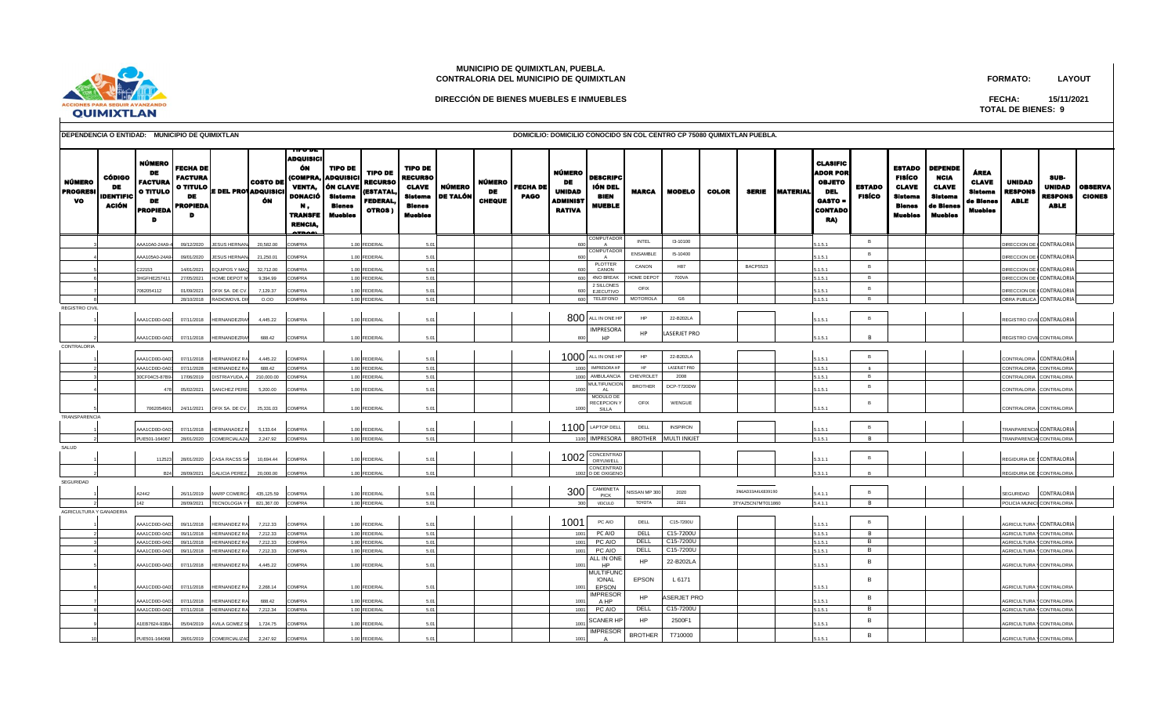

## **MUNICIPIO DE QUIMIXTLAN, PUEBLA. CONTRALORIA DEL MUNICIPIO DE QUIMIXTLAN**

**DIRECCIÓN DE BIENES MUEBLES E INMUEBLES**

**FORMATO: LAYOUT**

**TOTAL DE BIENES: 9 FECHA: 15/11/2021**

| <b>DEPENDENCIA O ENTIDAD:</b> | MUNICIPIO DE QUIMIXTLAN |  |  |
|-------------------------------|-------------------------|--|--|

**DEPENDENCIA O ENTIDAD: MUNICIPIO DE QUIMIXTLAN DOMICILIO: DOMICILIO CONOCIDO SN COL CENTRO CP 75080 QUIMIXTLAN PUEBLA.**

| <b>NÚMERO</b><br><b>PROGRES</b><br>vo | <b>CÓDIGO</b><br>DE<br>IDENTIFIC<br>ACIÓN | NÚMERO<br>DE<br><b>FACTURA</b><br><b>O TITULO</b><br>DE<br><b>PROPIED</b><br>D | FECHA DE<br><b>FACTURA</b><br><b>O TITULO</b><br><b>DE</b><br><b>PROPIEDA</b> |                      | <b>COSTO DE</b><br><b>E DEL PROVADQUISICI</b><br>ÓN | ADQUISICI<br>ÓN<br><b>COMPRA</b><br><b>VENTA.</b><br>DONACIÓ<br>М,<br><b>TRANSFE</b><br><b>RENCIA</b> | <b>TIPO DE</b><br><b>ADQUISIC</b><br>ÓN CLAVI<br><b>Sistema</b><br><b>Blenes</b><br><b>Muebles</b> | <b>TIPO DE</b><br><b>RECURSO</b><br><b>ESTATAL</b><br><b>FEDERAL</b><br>OTROS) | <b>TIPO DE</b><br><b>RECURSO</b><br><b>CLAVE</b><br>Sistema<br>Blenes<br>Muebles | <b>NÚMERO</b><br><b>DE TALÓI</b> | NÚMERO<br>DE<br><b>CHEQUE</b> | <b>FECHA DE</b><br><b>PAGO</b> | NÚMERO<br>DE<br><b>UNIDAD</b><br>ADMINIST<br><b>RATIVA</b> | <b>DESCRIPC</b><br>IÓN DEL<br>BIEN<br><b>MUEBLE</b> | <b>MARCA</b>    | <b>MODELO</b>       | <b>COLOR</b> | <b>SERIE</b>      | <b>MATERIAL</b> | <b>CLASIFIC</b><br><b>ADOR POR</b><br><b>OBJETO</b><br>DEL<br>GASTO =<br><b>CONTADO</b><br>RA) | <b>ESTADO</b><br><b>FISÍCO</b> | <b>ESTADO</b><br><b>FISÍCO</b><br><b>CLAVE</b><br>Sistema<br><b>Blenes</b><br>Muebles | <b>DEPENDE</b><br><b>NCIA</b><br><b>CLAVE</b><br><b>Sistems</b><br>de Blenes<br>Muebles | ÁREA<br><b>CLAVE</b><br><b>Sistema</b><br>de Blenes<br>Muebles | <b>UNIDAD</b><br><b>RESPONS</b><br><b>ABLE</b> | SUB-<br><b>UNIDAD</b><br><b>RESPONS</b><br><b>ABLE</b> | <b>OBSERVA</b><br><b>CIONES</b> |
|---------------------------------------|-------------------------------------------|--------------------------------------------------------------------------------|-------------------------------------------------------------------------------|----------------------|-----------------------------------------------------|-------------------------------------------------------------------------------------------------------|----------------------------------------------------------------------------------------------------|--------------------------------------------------------------------------------|----------------------------------------------------------------------------------|----------------------------------|-------------------------------|--------------------------------|------------------------------------------------------------|-----------------------------------------------------|-----------------|---------------------|--------------|-------------------|-----------------|------------------------------------------------------------------------------------------------|--------------------------------|---------------------------------------------------------------------------------------|-----------------------------------------------------------------------------------------|----------------------------------------------------------------|------------------------------------------------|--------------------------------------------------------|---------------------------------|
|                                       |                                           | AA10A0-24A9-4                                                                  | 09/12/2020                                                                    | <b>JESUS HERNAN</b>  | 20.582.00                                           | <b>COMPRA</b>                                                                                         |                                                                                                    | 1.00 FEDERAL                                                                   | 5.01                                                                             |                                  |                               |                                | 600                                                        | <b>COMPUTADO</b><br>$\Delta$                        | INTEL           | I3-10100            |              |                   |                 | 151                                                                                            | B                              |                                                                                       |                                                                                         |                                                                | DIRECCION DE CCONTRALORIA                      |                                                        |                                 |
|                                       |                                           | A4105A0-24A9                                                                   | 09/01/2020                                                                    | <b>SUS HERNA</b>     | 21,250.01                                           | COMPRA                                                                                                |                                                                                                    | 1.00 FEDERAL                                                                   | 5.01                                                                             |                                  |                               |                                |                                                            | <b>COMPUTADO</b><br>$\overline{A}$                  | <b>ENSAMBLE</b> | 15-10400            |              |                   |                 | 1.5.1                                                                                          | <b>B</b>                       |                                                                                       |                                                                                         |                                                                | <b>IRECCION DE</b>                             | CONTRALORI.                                            |                                 |
|                                       |                                           | 22153                                                                          | 14/01/2021                                                                    | QUIPOS Y MA          | 32,712.00                                           | COMPRA                                                                                                |                                                                                                    | 1.00 FEDERAL                                                                   | 5.01                                                                             |                                  |                               |                                |                                                            | PLOTTER                                             | CANON           | H87                 |              | <b>BACP5523</b>   |                 | 1.5.1                                                                                          | B                              |                                                                                       |                                                                                         |                                                                | DIRECCION DE                                   | CONTRALORIA                                            |                                 |
|                                       |                                           | 3HGFHE257411                                                                   | 27/05/2021                                                                    | HOME DEPOT M         | 9,394.99                                            | <b>COMPRA</b>                                                                                         |                                                                                                    | 1.00 FEDERAL                                                                   | 5.01                                                                             |                                  |                               |                                | 600                                                        | CANON<br>4NO BREAK                                  | HOME DEPOT      | 700VA               |              |                   |                 | 5.1.5.1                                                                                        | B                              |                                                                                       |                                                                                         |                                                                | DIRECCION DE (CONTRALORIA                      |                                                        |                                 |
|                                       |                                           | 1062054112                                                                     | 01/09/2021                                                                    | OFIX SA, DE CV.      | 7.129.37                                            | COMPRA                                                                                                |                                                                                                    | 1.00 FEDERAL                                                                   | 5.01                                                                             |                                  |                               |                                | 600                                                        | 2 SILLONES<br>EJECUTIVO                             | OFIX            |                     |              |                   |                 | 151                                                                                            | B                              |                                                                                       |                                                                                         |                                                                | DIRECCION DE (                                 | CONTRALORIA                                            |                                 |
|                                       |                                           |                                                                                | 28/10/2018                                                                    | <b>ADIOMOVIL DIR</b> | 0.00                                                | <b>COMPRA</b>                                                                                         |                                                                                                    | 1.00 FEDERAL                                                                   | 5.01                                                                             |                                  |                               |                                | 600                                                        | TELEFONO                                            | <b>MOTOROLA</b> | G6                  |              |                   |                 | 5.1.5.1                                                                                        | B                              |                                                                                       |                                                                                         |                                                                | OBRA PUBLICA                                   | CONTRALORIA                                            |                                 |
| <b>REGISTRO CIVIL</b>                 |                                           |                                                                                |                                                                               |                      |                                                     |                                                                                                       |                                                                                                    |                                                                                |                                                                                  |                                  |                               |                                |                                                            |                                                     |                 |                     |              |                   |                 |                                                                                                |                                |                                                                                       |                                                                                         |                                                                |                                                |                                                        |                                 |
|                                       |                                           | AAA1CD0D-0AD3                                                                  | 07/11/2018                                                                    | <b>IERNANDEZRAI</b>  | 4,445.22                                            | COMPRA                                                                                                |                                                                                                    | 1.00 FEDERAL                                                                   | 5.01                                                                             |                                  |                               |                                |                                                            | 800 ALL IN ONE HP                                   | HP              | 22-B202LA           |              |                   |                 | 5.1.5.1                                                                                        | B                              |                                                                                       |                                                                                         |                                                                | REGISTRO CIVIL CONTRALORIA                     |                                                        |                                 |
|                                       |                                           |                                                                                |                                                                               |                      |                                                     |                                                                                                       |                                                                                                    |                                                                                |                                                                                  |                                  |                               |                                |                                                            | <b>MPRESORA</b>                                     | <b>HP</b>       | LASERJET PRO        |              |                   |                 |                                                                                                |                                |                                                                                       |                                                                                         |                                                                |                                                |                                                        |                                 |
| <b>CONTRALORIA</b>                    |                                           | AAA1CD0D-0AD3                                                                  | 07/11/2018                                                                    | HERNANDEZRAI         | 688.42                                              | <b>COMPRA</b>                                                                                         |                                                                                                    | 1.00 FEDERAL                                                                   | 5.01                                                                             |                                  |                               |                                | 800                                                        | <b>HP</b>                                           |                 |                     |              |                   |                 | 5.1.5.1                                                                                        | <b>R</b>                       |                                                                                       |                                                                                         |                                                                | REGISTRO CIVIL CONTRALORIA                     |                                                        |                                 |
|                                       |                                           | AAA1CD0D-0AD                                                                   | 07/11/2018                                                                    | <b>IERNANDEZ RA</b>  | 4,445.22                                            | <b>COMPRA</b>                                                                                         |                                                                                                    | 1.00 FEDERAL                                                                   | 5.01                                                                             |                                  |                               |                                |                                                            | 1000 ALL IN ONE HP                                  | HP              | 22-B202LA           |              |                   |                 | 5.1.5.1                                                                                        | $\overline{B}$                 |                                                                                       |                                                                                         |                                                                | CONTRALORIA CONTRALORIA                        |                                                        |                                 |
|                                       |                                           | AAA1CD0D-0AD                                                                   | 07/11/2028                                                                    | HERNANDEZ RA         | 688.42                                              | <b>COMPRA</b>                                                                                         |                                                                                                    | 1.00 FEDERAL                                                                   | 5.01                                                                             |                                  |                               |                                | 1000                                                       | IMPRESORA HP                                        | HP              | <b>LASERJET PRO</b> |              |                   |                 | 5.1.5.1                                                                                        | B                              |                                                                                       |                                                                                         |                                                                | CONTRALORIA                                    | <b>CONTRALORIA</b>                                     |                                 |
|                                       |                                           | 0CF04C5-87B9                                                                   | 17/06/2019                                                                    | ISTRIAYUDA,          | 210,000.00                                          | COMPRA                                                                                                |                                                                                                    | 1.00 FEDERAL                                                                   | 5.01                                                                             |                                  |                               |                                | 1000                                                       | AMBULANCIA                                          | CHEVROLET       | 2008                |              |                   |                 | 5.1.5.1                                                                                        | B                              |                                                                                       |                                                                                         |                                                                | CONTRALORIA                                    | CONTRALORIA                                            |                                 |
|                                       |                                           | 478                                                                            | 05/02/2021                                                                    | <b>ANCHEZ PERE</b>   | 5.200.00                                            | COMPRA                                                                                                |                                                                                                    | 1.00 FEDERAL                                                                   | 5.01                                                                             |                                  |                               |                                | 1000                                                       | <b>IULTIFUNCIOI</b><br>$\Lambda$                    | <b>BROTHER</b>  | DCP-T720DW          |              |                   |                 | 1.5.1                                                                                          | B                              |                                                                                       |                                                                                         |                                                                | CONTRALORIA CONTRALORI                         |                                                        |                                 |
|                                       |                                           |                                                                                |                                                                               |                      |                                                     |                                                                                                       |                                                                                                    |                                                                                |                                                                                  |                                  |                               |                                |                                                            | MODULO DE<br>RECEPCION <sup>'</sup>                 | OFIX            | WENGUE              |              |                   |                 |                                                                                                | B                              |                                                                                       |                                                                                         |                                                                |                                                |                                                        |                                 |
|                                       |                                           | 7062054901                                                                     | 24/11/2021                                                                    | OFIX SA. DE CV.      | 25,331.03                                           | <b>COMPRA</b>                                                                                         |                                                                                                    | 1.00 FEDERAL                                                                   | 5.01                                                                             |                                  |                               |                                | 1000                                                       | SILLA                                               |                 |                     |              |                   |                 | 1.5.1                                                                                          |                                |                                                                                       |                                                                                         |                                                                | CONTRALORIA CONTRALORIA                        |                                                        |                                 |
| TRANSPARENCIA                         |                                           |                                                                                |                                                                               |                      |                                                     |                                                                                                       |                                                                                                    |                                                                                |                                                                                  |                                  |                               |                                |                                                            |                                                     |                 |                     |              |                   |                 |                                                                                                |                                |                                                                                       |                                                                                         |                                                                |                                                |                                                        |                                 |
|                                       |                                           | AAA1CD0D-0AD                                                                   | 07/11/2018                                                                    | HERNANADEZ R         | 5,133.64                                            | <b>COMPRA</b>                                                                                         |                                                                                                    | 1.00 FEDERAL                                                                   | 5.01                                                                             |                                  |                               |                                |                                                            | 1100 LAPTOP DELL                                    | DELL            | <b>INSPIRON</b>     |              |                   |                 | 5.1.5.1                                                                                        | B                              |                                                                                       |                                                                                         |                                                                | <b>TRANPARENCIA CONTRALORIA</b>                |                                                        |                                 |
|                                       |                                           | PUE501-164067                                                                  | 28/01/2020                                                                    | COMERCIALAZA         | 2,247.92                                            | COMPRA                                                                                                |                                                                                                    | 1.00 FEDERAL                                                                   | 5.01                                                                             |                                  |                               |                                | 1100                                                       | <b>IMPRESORA</b>                                    | <b>BROTHER</b>  | <b>MULTI INKJET</b> |              |                   |                 | 5.1.5.1                                                                                        | $\overline{B}$                 |                                                                                       |                                                                                         |                                                                | TRANPARENCIA CONTRALORIA                       |                                                        |                                 |
| SALUD                                 |                                           |                                                                                |                                                                               |                      |                                                     |                                                                                                       |                                                                                                    |                                                                                |                                                                                  |                                  |                               |                                |                                                            | 1002 CONCENTRAD                                     |                 |                     |              |                   |                 |                                                                                                | B                              |                                                                                       |                                                                                         |                                                                |                                                |                                                        |                                 |
|                                       |                                           | 112523                                                                         | 28/01/2020                                                                    | CASA RACSS SA        | 10,694.44                                           | <b>COMPRA</b>                                                                                         |                                                                                                    | 1.00 FEDERAL                                                                   | 5.01                                                                             |                                  |                               |                                |                                                            | CONCENTRAD                                          |                 |                     |              |                   |                 | 5.3.1.1                                                                                        |                                |                                                                                       |                                                                                         |                                                                | REGIDURIA DE § CONTRALORIA                     |                                                        |                                 |
|                                       |                                           | <b>B24</b>                                                                     | 28/09/2021                                                                    | <b>ALICIA PEREZ</b>  | 20,000.00                                           | COMPRA                                                                                                |                                                                                                    | 1.00 FEDERAL                                                                   | 5.01                                                                             |                                  |                               |                                |                                                            | 1002 O DE OXIGENO                                   |                 |                     |              |                   |                 | 3.3.1.1                                                                                        | <b>R</b>                       |                                                                                       |                                                                                         |                                                                | REGIDURIA DE SCONTRALORIA                      |                                                        |                                 |
| SEGURIDAD                             |                                           |                                                                                |                                                                               |                      |                                                     |                                                                                                       |                                                                                                    |                                                                                |                                                                                  |                                  |                               |                                |                                                            | CAMIONETA                                           |                 |                     |              |                   |                 |                                                                                                |                                |                                                                                       |                                                                                         |                                                                |                                                |                                                        |                                 |
|                                       |                                           | 42442                                                                          | 26/11/2019                                                                    | <b>MARP COMERCA</b>  | 435,125.59                                          | COMPRA                                                                                                |                                                                                                    | 1.00 FEDERAL                                                                   | 5.01                                                                             |                                  |                               |                                | 300                                                        | PICK                                                | NISSAN MP 300   | 2020                |              | 3N6AD33A4LK839190 |                 | 5.4.1.1                                                                                        | B                              |                                                                                       |                                                                                         |                                                                | SEGURIDAD                                      | CONTRALORIA                                            |                                 |
| AGRICULTURA Y GANADERIA               |                                           | 142                                                                            | 28/09/2021                                                                    | <b>FECNOLOGIA Y</b>  | 821,367.00                                          | COMPRA                                                                                                |                                                                                                    | 1.00 FEDERAL                                                                   | 5.01                                                                             |                                  |                               |                                | 300                                                        | VEICULO                                             | TOYOTA          | 2021                |              | 3TYAZ5CN7MT011860 |                 | 5.4.1.1                                                                                        | B                              |                                                                                       |                                                                                         |                                                                | POLICIA MUNICI CONTRALORIA                     |                                                        |                                 |
|                                       |                                           | AAA1CD0D-0AD                                                                   | 09/11/2018                                                                    | <b>IERNANDEZ RA</b>  | 7.212.33                                            | <b>COMPRA</b>                                                                                         |                                                                                                    | 1.00 FEDERAL                                                                   | 5.01                                                                             |                                  |                               |                                | 1001                                                       | PC AIO                                              | DELL            | C15-7200U           |              |                   |                 | 5.1.5.1                                                                                        | $\overline{B}$                 |                                                                                       |                                                                                         |                                                                | <b>AGRICULTURA \CONTRALORIA</b>                |                                                        |                                 |
|                                       |                                           | AA1CD0D-0AD                                                                    | 09/11/2018                                                                    | ERNANDEZ R           | 7.212.33                                            | COMPRA                                                                                                |                                                                                                    | 1.00 FEDERAL                                                                   | 5.01                                                                             |                                  |                               |                                | 100                                                        | PC AIO                                              | DELL            | C15-7200U           |              |                   |                 | 5.1.5.1                                                                                        | B                              |                                                                                       |                                                                                         |                                                                | <b>AGRICULTURA</b>                             | ONTRALORIA                                             |                                 |
|                                       |                                           | AA1CD0D-0AD                                                                    | 09/11/2018                                                                    | <b>ERNANDEZ R</b>    | 7,212.33                                            | COMPRA                                                                                                |                                                                                                    | 1.00 FEDERAL                                                                   | 5.01                                                                             |                                  |                               |                                | 1001                                                       | PC AIO                                              | DELL            | C15-7200U           |              |                   |                 | 5.1.5.1                                                                                        | B                              |                                                                                       |                                                                                         |                                                                | <b>AGRICULTURA</b>                             | CONTRALORIA                                            |                                 |
|                                       |                                           | AA1CD0D-0AD                                                                    | 09/11/2018                                                                    | ERNANDEZ R/          | 7.212.33                                            | COMPRA                                                                                                |                                                                                                    | 1.00 FEDERAL                                                                   | 5.01                                                                             |                                  |                               |                                | 100                                                        | PC AIO                                              | DELL            | C15-7200U           |              |                   |                 | 5.1.5.1                                                                                        | B                              |                                                                                       |                                                                                         |                                                                | <b>AGRICULTURA</b>                             | CONTRALORIA                                            |                                 |
|                                       |                                           | AA1CD0D-0AD                                                                    | 07/11/2018                                                                    | HERNANDEZ RA         | 4,445.22                                            | COMPRA                                                                                                |                                                                                                    | 1.00 FEDERAL                                                                   | 5.01                                                                             |                                  |                               |                                | 100                                                        | ALL IN ONE<br><b>HP</b>                             | HP              | 22-B202LA           |              |                   |                 | 1.5.1                                                                                          | B                              |                                                                                       |                                                                                         |                                                                | AGRICULTURA YCONTRALORIA                       |                                                        |                                 |
|                                       |                                           |                                                                                |                                                                               |                      |                                                     |                                                                                                       |                                                                                                    |                                                                                |                                                                                  |                                  |                               |                                |                                                            | <b><i>IULTIFUNC</i></b>                             |                 |                     |              |                   |                 |                                                                                                |                                |                                                                                       |                                                                                         |                                                                |                                                |                                                        |                                 |
|                                       |                                           | AA1CD0D-0AD3                                                                   | 07/11/2018                                                                    | <b>IERNANDEZ RA</b>  | 2,268.14                                            | COMPRA                                                                                                |                                                                                                    | 1.00 FEDERAL                                                                   | 5.01                                                                             |                                  |                               |                                | 1001                                                       | <b>IONAL</b><br>EPSON                               | <b>EPSON</b>    | L 6171              |              |                   |                 | 1.5.1                                                                                          | B                              |                                                                                       |                                                                                         |                                                                | AGRICULTURA \ CONTRALORI/                      |                                                        |                                 |
|                                       |                                           | AA1CD0D-0AD                                                                    | 07/11/2018                                                                    | ERNANDEZ RA          | 688.42                                              | COMPRA                                                                                                |                                                                                                    | 1.00 FEDERAL                                                                   | 5.01                                                                             |                                  |                               |                                | 1001                                                       | <b>MPRESOR</b><br>A HP                              | <b>HP</b>       | ASERJET PRO         |              |                   |                 | 1.5.1                                                                                          | $\overline{B}$                 |                                                                                       |                                                                                         |                                                                | <b>AGRICULTURA</b>                             | <b>CONTRALORIA</b>                                     |                                 |
|                                       |                                           | AAA1CD0D-0AD                                                                   | 07/11/2018                                                                    | <b>IERNANDEZ R</b>   | 7,212.34                                            | <b>COMPRA</b>                                                                                         |                                                                                                    | 1.00 FEDERAL                                                                   | 5.01                                                                             |                                  |                               |                                | 1001                                                       | PC AIO                                              | DELL            | C15-7200U           |              |                   |                 | 5.1.5.1                                                                                        | $\overline{B}$                 |                                                                                       |                                                                                         |                                                                | <b>AGRICULTURA</b>                             | CONTRALORIA                                            |                                 |
|                                       |                                           |                                                                                |                                                                               |                      |                                                     |                                                                                                       |                                                                                                    | 1.00 FEDERAL                                                                   |                                                                                  |                                  |                               |                                |                                                            | <b>CANER HP</b>                                     | HP              | 2500F1              |              |                   |                 |                                                                                                | B                              |                                                                                       |                                                                                         |                                                                |                                                |                                                        |                                 |
|                                       |                                           | 1EB7624-93BA                                                                   | 05/04/2019                                                                    | VILA GOMEZ S         | 1.724.75                                            | COMPRA                                                                                                |                                                                                                    |                                                                                | 5.01                                                                             |                                  |                               |                                | 100                                                        | <b>MPRESOR</b>                                      | <b>BROTHER</b>  | T710000             |              |                   |                 | 1.5.1                                                                                          | B                              |                                                                                       |                                                                                         |                                                                | GRICULTURA YCONTRALORIA                        |                                                        |                                 |
|                                       |                                           | PUE501-164068                                                                  | 28/01/2019                                                                    | COMERCIALIZAD        | 2,247.92                                            | <b>COMPRA</b>                                                                                         |                                                                                                    | 1.00 FEDERAL                                                                   | 5.01                                                                             |                                  |                               |                                | 1001                                                       | A                                                   |                 |                     |              |                   |                 | 5.1.5.1                                                                                        |                                |                                                                                       |                                                                                         |                                                                | AGRICULTURA \CONTRALORIA                       |                                                        |                                 |